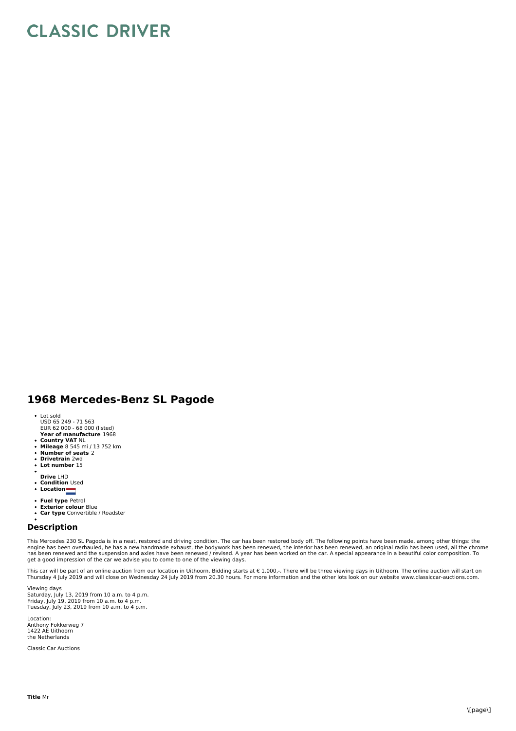## **CLASSIC DRIVER**

## **1968 Mercedes-Benz SL Pagode**

- Lot sold
- USD 65 249 71 563 EUR 62 000 68 000 (listed)
- **Year of manufacture** 1968
- 
- **Country VAT** NL **Mileage** 8 545 mi / 13 752 km
- **Number of seats** 2 **Drivetrain** 2wd
- $\ddot{\phantom{a}}$ **Lot number** 15
- 
- **Drive** LHD
- **Condition** Used
- **Location**
- **Fuel type** Petrol
- **Exterior colour** Blue  $\ddot{\phantom{0}}$
- **Car type** Convertible / Roadster  $\bullet$

## **Description**

This Mercedes 230 SL Pagoda is in a neat, restored and driving condition. The car has been restored body off. The following points have been made, among other things: the engine has been overhauled, he has a new handmade exhaust, the bodywork has been renewed, the interior has been renewed, an original radio has been used, all the chrome<br>has been renewed and the suspension and axles have be get a good impression of the car we advise you to come to one of the viewing days.

This car will be part of an online auction from our location in Uithoorn. Bidding starts at € 1.000,-. There will be three viewing days in Uithoorn. The online auction will start on Thursday 4 July 2019 and will close on Wednesday 24 July 2019 from 20.30 hours. For more information and the other lots look on our website www.classiccar-auctions.com.

Viewing days Saturday, July 13, 2019 from 10 a.m. to 4 p.m.<br>Friday, July 19, 2019 from 10 a.m. to 4 p.m.<br>Tuesday, July 23, 2019 from 10 a.m. to 4 p.m.

Location: Anthony Fokkerweg 7 1422 AE Uithoorn the Netherlands

Classic Car Auctions